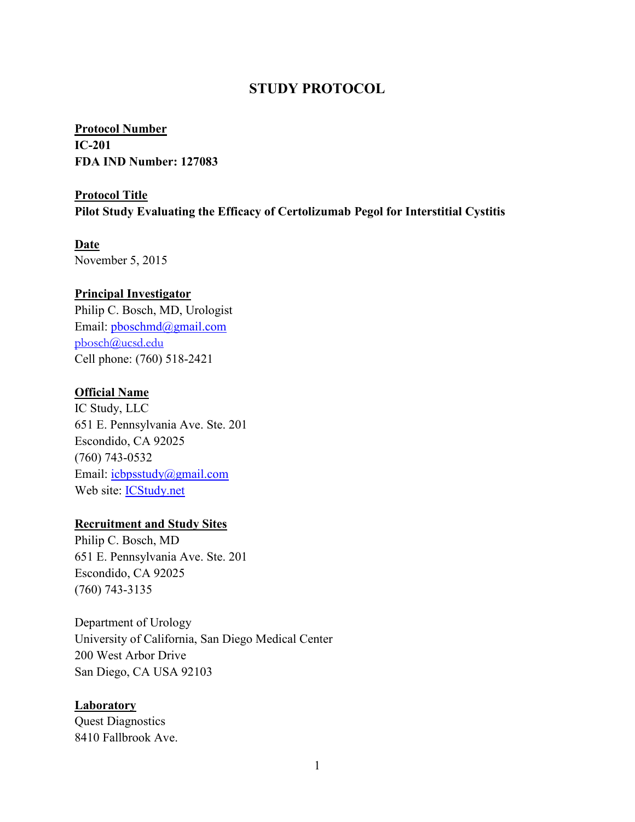## **STUDY PROTOCOL**

**IC-201 Protocol Number FDA IND Number: 127083**

## **Pilot Study Evaluating the Efficacy of Certolizumab Pegol for Interstitial Cystitis Protocol Title**

## **Date**

November 5, 2015

### **Principal Investigator**

Philip C. Bosch, MD, Urologist Email: [pboschmd@gmail.com](mailto:pboschmd@gmail.com) [pbosch@ucsd.edu](mailto:pbosch@ucsd.edu) Cell phone: (760) 518-2421

### **Official Name**

IC Study, LLC 651 E. Pennsylvania Ave. Ste. 201 Escondido, CA 92025 (760) 743-0532 Email: icbpsstudy@gmail.com Web site: **ICStudy.net** 

#### **Recruitment and Study Sites**

Philip C. Bosch, MD 651 E. Pennsylvania Ave. Ste. 201 Escondido, CA 92025 (760) 743-3135

Department of Urology University of California, San Diego Medical Center 200 West Arbor Drive San Diego, CA USA 92103

#### **Laboratory**

Quest Diagnostics 8410 Fallbrook Ave.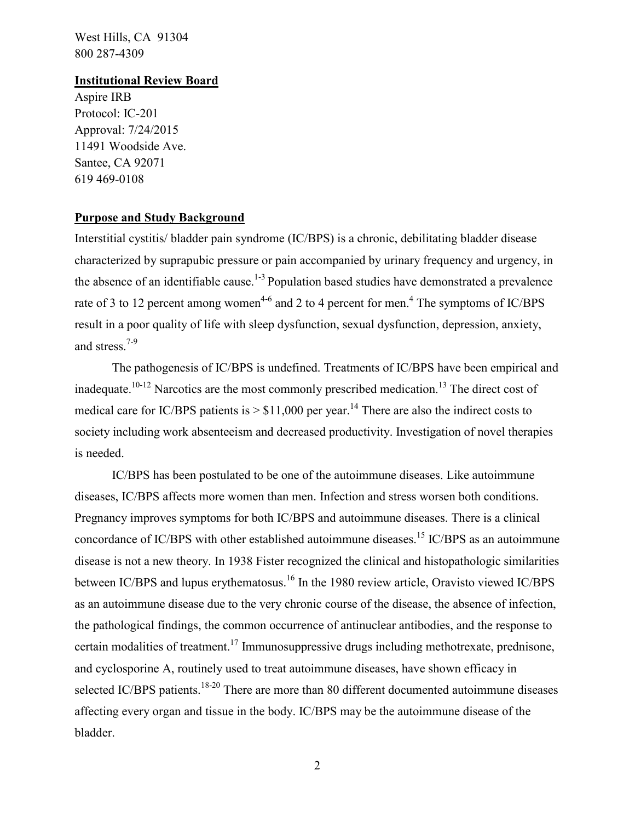West Hills, CA 91304 800 287-4309

#### **Institutional Review Board**

Aspire IRB Protocol: IC-201 Approval: 7/24/2015 11491 Woodside Ave. Santee, CA 92071 619 469-0108

### **Purpose and Study Background**

Interstitial cystitis/ bladder pain syndrome (IC/BPS) is a chronic, debilitating bladder disease characterized by suprapubic pressure or pain accompanied by urinary frequency and urgency, in the absence of an identifiable cause.<sup>1-3</sup> Population based studies have demonstrated a prevalence rate of 3 to 12 percent among women<sup>4-6</sup> and 2 to 4 percent for men.<sup>4</sup> The symptoms of IC/BPS result in a poor quality of life with sleep dysfunction, sexual dysfunction, depression, anxiety, and stress.<sup>7-9</sup>

The pathogenesis of IC/BPS is undefined. Treatments of IC/BPS have been empirical and inadequate.<sup>10-12</sup> Narcotics are the most commonly prescribed medication.<sup>13</sup> The direct cost of medical care for IC/BPS patients is  $> $11,000$  per year.<sup>14</sup> There are also the indirect costs to society including work absenteeism and decreased productivity. Investigation of novel therapies is needed.

IC/BPS has been postulated to be one of the autoimmune diseases. Like autoimmune diseases, IC/BPS affects more women than men. Infection and stress worsen both conditions. Pregnancy improves symptoms for both IC/BPS and autoimmune diseases. There is a clinical concordance of IC/BPS with other established autoimmune diseases.<sup>15</sup> IC/BPS as an autoimmune disease is not a new theory. In 1938 Fister recognized the clinical and histopathologic similarities between IC/BPS and lupus erythematosus.<sup>16</sup> In the 1980 review article, Oravisto viewed IC/BPS as an autoimmune disease due to the very chronic course of the disease, the absence of infection, the pathological findings, the common occurrence of antinuclear antibodies, and the response to certain modalities of treatment.<sup>17</sup> Immunosuppressive drugs including methotrexate, prednisone, and cyclosporine A, routinely used to treat autoimmune diseases, have shown efficacy in selected IC/BPS patients.<sup>18-20</sup> There are more than 80 different documented autoimmune diseases affecting every organ and tissue in the body. IC/BPS may be the autoimmune disease of the bladder.

2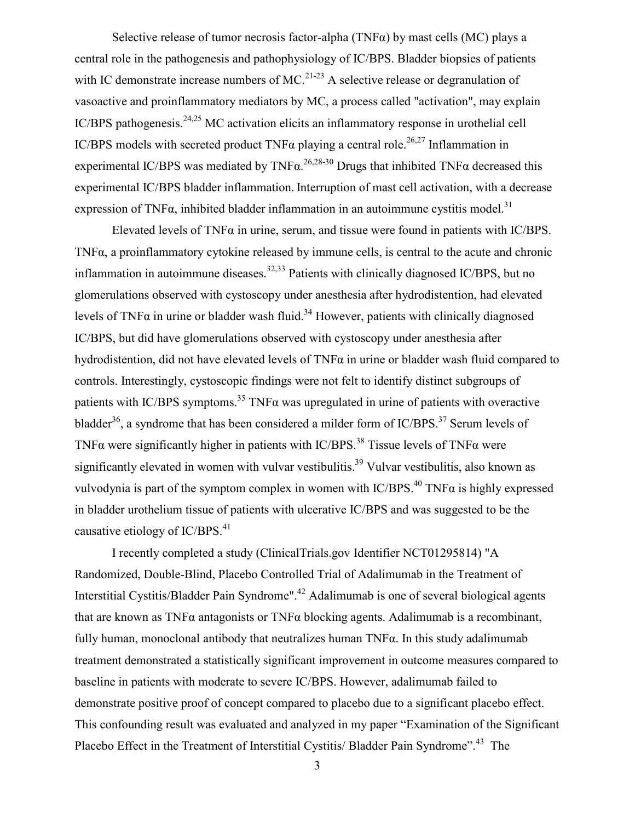Selective release of tumor necrosis factor-alpha (TNF $\alpha$ ) by mast cells (MC) plays a central role in the pathogenesis and pathophysiology of IC/BPS. Bladder biopsies of patients with IC demonstrate increase numbers of MC.<sup>21-23</sup> A selective release or degranulation of vasoactive and proinflammatory mediators by MC, a process called "activation", may explain IC/BPS pathogenesis.24,25 MC activation elicits an inflammatory response in urothelial cell IC/BPS models with secreted product TNF $\alpha$  playing a central role.<sup>26,27</sup> Inflammation in experimental IC/BPS was mediated by  $TNF\alpha$ <sup>26,28-30</sup> Drugs that inhibited  $TNF\alpha$  decreased this experimental IC/BPS bladder inflammation. Interruption of mast cell activation, with a decrease expression of TNF $\alpha$ , inhibited bladder inflammation in an autoimmune cystitis model.<sup>31</sup>

Elevated levels of TNF $\alpha$  in urine, serum, and tissue were found in patients with IC/BPS. TNFα, a proinflammatory cytokine released by immune cells, is central to the acute and chronic inflammation in autoimmune diseases.<sup>32,33</sup> Patients with clinically diagnosed IC/BPS, but no glomerulations observed with cystoscopy under anesthesia after hydrodistention, had elevated levels of TNF $\alpha$  in urine or bladder wash fluid.<sup>34</sup> However, patients with clinically diagnosed IC/BPS, but did have glomerulations observed with cystoscopy under anesthesia after hydrodistention, did not have elevated levels of TNFα in urine or bladder wash fluid compared to controls. Interestingly, cystoscopic findings were not felt to identify distinct subgroups of patients with IC/BPS symptoms.<sup>35</sup> TNF $\alpha$  was upregulated in urine of patients with overactive bladder<sup>36</sup>, a syndrome that has been considered a milder form of IC/BPS.<sup>37</sup> Serum levels of TNF $\alpha$  were significantly higher in patients with IC/BPS.<sup>38</sup> Tissue levels of TNF $\alpha$  were significantly elevated in women with vulvar vestibulitis.<sup>39</sup> Vulvar vestibulitis, also known as vulvodynia is part of the symptom complex in women with  $IC/BPS<sup>40</sup>$  TNF $\alpha$  is highly expressed in bladder urothelium tissue of patients with ulcerative IC/BPS and was suggested to be the causative etiology of IC/BPS.<sup>41</sup>

I recently completed a study (ClinicalTrials.gov Identifier NCT01295814) "A Randomized, Double-Blind, Placebo Controlled Trial of Adalimumab in the Treatment of Interstitial Cystitis/Bladder Pain Syndrome".<sup>42</sup> Adalimumab is one of several biological agents that are known as TNF $\alpha$  antagonists or TNF $\alpha$  blocking agents. Adalimumab is a recombinant, fully human, monoclonal antibody that neutralizes human  $TNF\alpha$ . In this study adalimumab treatment demonstrated a statistically significant improvement in outcome measures compared to baseline in patients with moderate to severe IC/BPS. However, adalimumab failed to demonstrate positive proof of concept compared to placebo due to a significant placebo effect. This confounding result was evaluated and analyzed in my paper "Examination of the Significant Placebo Effect in the Treatment of Interstitial Cystitis/ Bladder Pain Syndrome".<sup>43</sup> The

3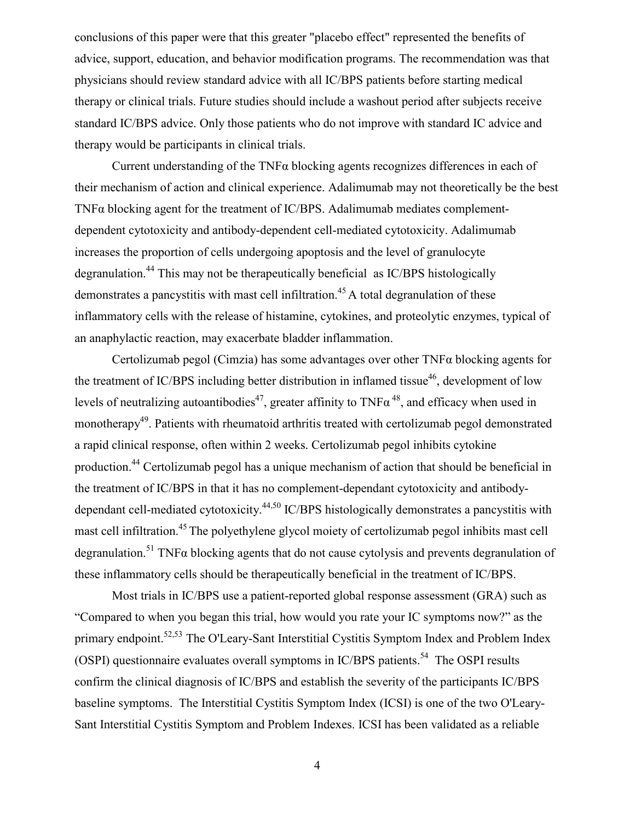conclusions of this paper were that this greater "placebo effect" represented the benefits of advice, support, education, and behavior modification programs. The recommendation was that physicians should review standard advice with all IC/BPS patients before starting medical therapy or clinical trials. Future studies should include a washout period after subjects receive standard IC/BPS advice. Only those patients who do not improve with standard IC advice and therapy would be participants in clinical trials.

Current understanding of the TNFα blocking agents recognizes differences in each of their mechanism of action and clinical experience. Adalimumab may not theoretically be the best TNFα blocking agent for the treatment of IC/BPS. Adalimumab mediates complementdependent cytotoxicity and antibody-dependent cell-mediated cytotoxicity. Adalimumab increases the proportion of cells undergoing apoptosis and the level of granulocyte degranulation.<sup>44</sup> This may not be therapeutically beneficial as IC/BPS histologically demonstrates a pancystitis with mast cell infiltration.<sup>45</sup> A total degranulation of these inflammatory cells with the release of histamine, cytokines, and proteolytic enzymes, typical of an anaphylactic reaction, may exacerbate bladder inflammation.

Certolizumab pegol (Cimzia) has some advantages over other TNFα blocking agents for the treatment of IC/BPS including better distribution in inflamed tissue<sup>46</sup>, development of low levels of neutralizing autoantibodies<sup>47</sup>, greater affinity to  $TNF\alpha^{48}$ , and efficacy when used in monotherapy<sup>49</sup>. Patients with rheumatoid arthritis treated with certolizumab pegol demonstrated a rapid clinical response, often within 2 weeks. Certolizumab pegol inhibits cytokine production.44 Certolizumab pegol has a unique mechanism of action that should be beneficial in the treatment of IC/BPS in that it has no complement-dependant cytotoxicity and antibodydependant cell-mediated cytotoxicity.44,50 IC/BPS histologically demonstrates a pancystitis with mast cell infiltration.<sup>45</sup> The polyethylene glycol moiety of certolizumab pegol inhibits mast cell degranulation.<sup>51</sup> TNF $\alpha$  blocking agents that do not cause cytolysis and prevents degranulation of these inflammatory cells should be therapeutically beneficial in the treatment of IC/BPS.

Most trials in IC/BPS use a patient-reported global response assessment (GRA) such as "Compared to when you began this trial, how would you rate your IC symptoms now?" as the primary endpoint.<sup>52,53</sup> The O'Leary-Sant Interstitial Cystitis Symptom Index and Problem Index (OSPI) questionnaire evaluates overall symptoms in IC/BPS patients.<sup>54</sup> The OSPI results confirm the clinical diagnosis of IC/BPS and establish the severity of the participants IC/BPS baseline symptoms. The Interstitial Cystitis Symptom Index (ICSI) is one of the two O'Leary-Sant Interstitial Cystitis Symptom and Problem Indexes. ICSI has been validated as a reliable

4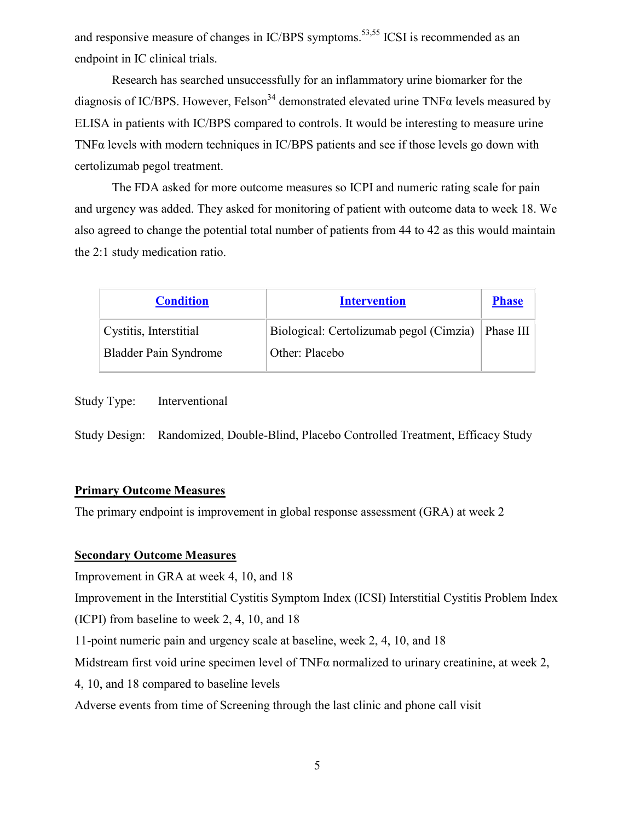and responsive measure of changes in IC/BPS symptoms.<sup>53,55</sup> ICSI is recommended as an endpoint in IC clinical trials.

Research has searched unsuccessfully for an inflammatory urine biomarker for the diagnosis of IC/BPS. However, Felson<sup>34</sup> demonstrated elevated urine TNF $\alpha$  levels measured by ELISA in patients with IC/BPS compared to controls. It would be interesting to measure urine TNFα levels with modern techniques in IC/BPS patients and see if those levels go down with certolizumab pegol treatment.

The FDA asked for more outcome measures so ICPI and numeric rating scale for pain and urgency was added. They asked for monitoring of patient with outcome data to week 18. We also agreed to change the potential total number of patients from 44 to 42 as this would maintain the 2:1 study medication ratio.

| <b>Condition</b>             | <b>Intervention</b>                     | <b>Phase</b> |
|------------------------------|-----------------------------------------|--------------|
| Cystitis, Interstitial       | Biological: Certolizumab pegol (Cimzia) | Phase III    |
| <b>Bladder Pain Syndrome</b> | Other: Placebo                          |              |

Study Type: Interventional

Study Design: Randomized, Double-Blind, Placebo Controlled Treatment, Efficacy Study

#### **Primary Outcome Measures**

The primary endpoint is improvement in global response assessment (GRA) at week 2

#### **Secondary Outcome Measures**

Improvement in GRA at week 4, 10, and 18

Improvement in the Interstitial Cystitis Symptom Index (ICSI) Interstitial Cystitis Problem Index

(ICPI) from baseline to week 2, 4, 10, and 18

11-point numeric pain and urgency scale at baseline, week 2, 4, 10, and 18

Midstream first void urine specimen level of TNFα normalized to urinary creatinine, at week 2,

4, 10, and 18 compared to baseline levels

Adverse events from time of Screening through the last clinic and phone call visit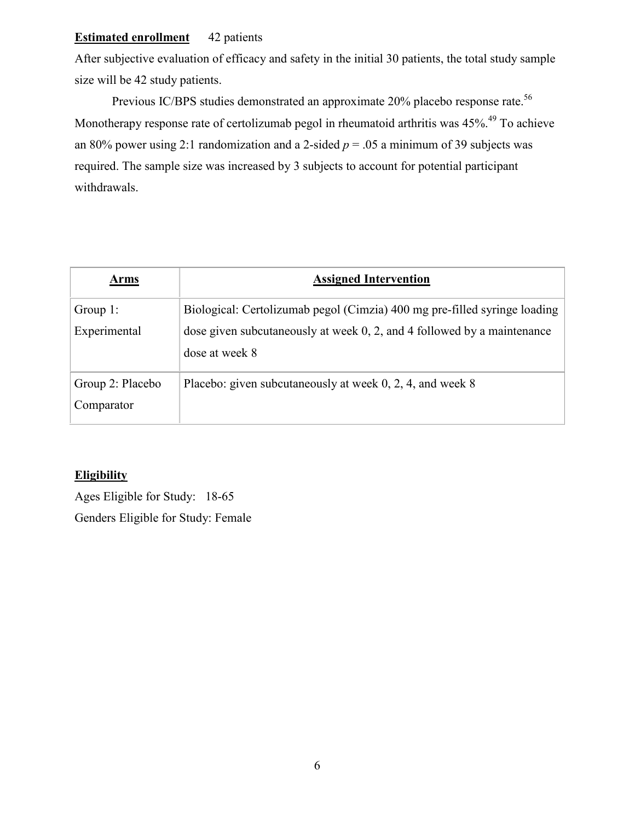## **Estimated enrollment** 42 patients

After subjective evaluation of efficacy and safety in the initial 30 patients, the total study sample size will be 42 study patients.

Previous IC/BPS studies demonstrated an approximate 20% placebo response rate.<sup>56</sup> Monotherapy response rate of certolizumab pegol in rheumatoid arthritis was 45%.<sup>49</sup> To achieve an 80% power using 2:1 randomization and a 2-sided  $p = 0.05$  a minimum of 39 subjects was required. The sample size was increased by 3 subjects to account for potential participant withdrawals.

| Arms             | <b>Assigned Intervention</b>                                               |
|------------------|----------------------------------------------------------------------------|
| Group $1$ :      | Biological: Certolizumab pegol (Cimzia) 400 mg pre-filled syringe loading  |
| Experimental     | dose given subcutaneously at week $0, 2$ , and 4 followed by a maintenance |
|                  | dose at week 8                                                             |
| Group 2: Placebo | Placebo: given subcutaneously at week 0, 2, 4, and week 8                  |
| Comparator       |                                                                            |

## **Eligibility**

Ages Eligible for Study: 18-65 Genders Eligible for Study: Female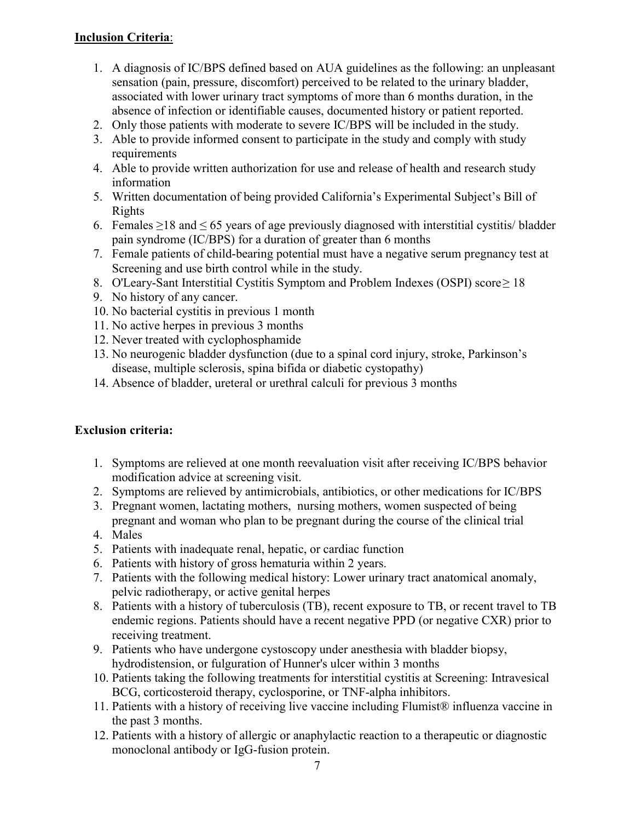## **Inclusion Criteria**:

- 1. A diagnosis of IC/BPS defined based on AUA guidelines as the following: an unpleasant sensation (pain, pressure, discomfort) perceived to be related to the urinary bladder, associated with lower urinary tract symptoms of more than 6 months duration, in the absence of infection or identifiable causes, documented history or patient reported.
- 2. Only those patients with moderate to severe IC/BPS will be included in the study.
- 3. Able to provide informed consent to participate in the study and comply with study requirements
- 4. Able to provide written authorization for use and release of health and research study information
- 5. Written documentation of being provided California's Experimental Subject's Bill of Rights
- 6. Females  $\geq$ 18 and  $\leq$  65 years of age previously diagnosed with interstitial cystitis/ bladder pain syndrome (IC/BPS) for a duration of greater than 6 months
- 7. Female patients of child-bearing potential must have a negative serum pregnancy test at Screening and use birth control while in the study.
- 8. O'Leary-Sant Interstitial Cystitis Symptom and Problem Indexes (OSPI) score≥ 18
- 9. No history of any cancer.
- 10. No bacterial cystitis in previous 1 month
- 11. No active herpes in previous 3 months
- 12. Never treated with cyclophosphamide
- 13. No neurogenic bladder dysfunction (due to a spinal cord injury, stroke, Parkinson's disease, multiple sclerosis, spina bifida or diabetic cystopathy)
- 14. Absence of bladder, ureteral or urethral calculi for previous 3 months

### **Exclusion criteria:**

- 1. Symptoms are relieved at one month reevaluation visit after receiving IC/BPS behavior modification advice at screening visit.
- 2. Symptoms are relieved by antimicrobials, antibiotics, or other medications for IC/BPS
- 3. Pregnant women, lactating mothers, nursing mothers, women suspected of being pregnant and woman who plan to be pregnant during the course of the clinical trial
- 4. Males
- 5. Patients with inadequate renal, hepatic, or cardiac function
- 6. Patients with history of gross hematuria within 2 years.
- 7. Patients with the following medical history: Lower urinary tract anatomical anomaly, pelvic radiotherapy, or active genital herpes
- 8. Patients with a history of tuberculosis (TB), recent exposure to TB, or recent travel to TB endemic regions. Patients should have a recent negative PPD (or negative CXR) prior to receiving treatment.
- 9. Patients who have undergone cystoscopy under anesthesia with bladder biopsy, hydrodistension, or fulguration of Hunner's ulcer within 3 months
- 10. Patients taking the following treatments for interstitial cystitis at Screening: Intravesical BCG, corticosteroid therapy, cyclosporine, or TNF-alpha inhibitors.
- 11. Patients with a history of receiving live vaccine including Flumist® influenza vaccine in the past 3 months.
- 12. Patients with a history of allergic or anaphylactic reaction to a therapeutic or diagnostic monoclonal antibody or IgG-fusion protein.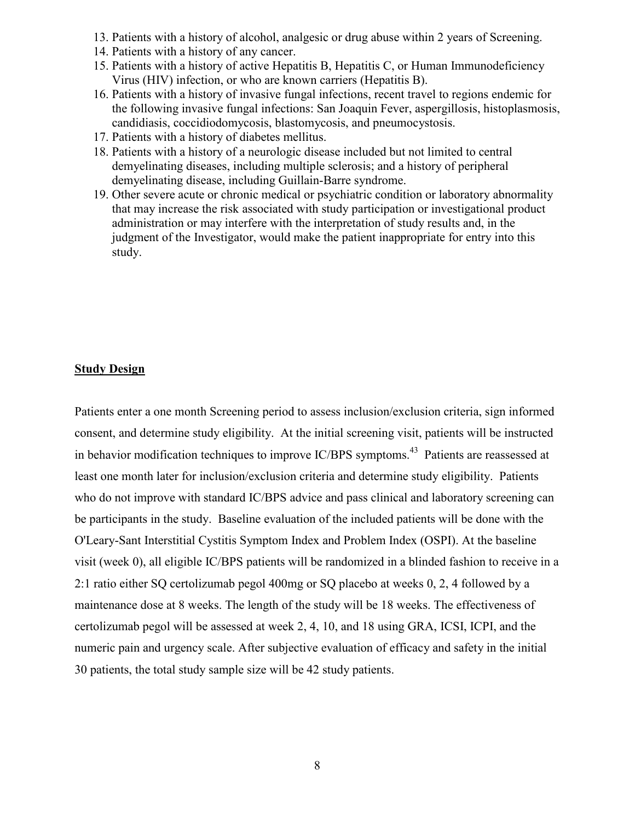- 13. Patients with a history of alcohol, analgesic or drug abuse within 2 years of Screening.
- 14. Patients with a history of any cancer.
- 15. Patients with a history of active Hepatitis B, Hepatitis C, or Human Immunodeficiency Virus (HIV) infection, or who are known carriers (Hepatitis B).
- 16. Patients with a history of invasive fungal infections, recent travel to regions endemic for the following invasive fungal infections: San Joaquin Fever, aspergillosis, histoplasmosis, candidiasis, coccidiodomycosis, blastomycosis, and pneumocystosis.
- 17. Patients with a history of diabetes mellitus.
- 18. Patients with a history of a neurologic disease included but not limited to central demyelinating diseases, including multiple sclerosis; and a history of peripheral demyelinating disease, including Guillain-Barre syndrome.
- 19. Other severe acute or chronic medical or psychiatric condition or laboratory abnormality that may increase the risk associated with study participation or investigational product administration or may interfere with the interpretation of study results and, in the judgment of the Investigator, would make the patient inappropriate for entry into this study.

#### **Study Design**

Patients enter a one month Screening period to assess inclusion/exclusion criteria, sign informed consent, and determine study eligibility. At the initial screening visit, patients will be instructed in behavior modification techniques to improve IC/BPS symptoms.<sup>43</sup> Patients are reassessed at least one month later for inclusion/exclusion criteria and determine study eligibility. Patients who do not improve with standard IC/BPS advice and pass clinical and laboratory screening can be participants in the study. Baseline evaluation of the included patients will be done with the O'Leary-Sant Interstitial Cystitis Symptom Index and Problem Index (OSPI). At the baseline visit (week 0), all eligible IC/BPS patients will be randomized in a blinded fashion to receive in a 2:1 ratio either SQ certolizumab pegol 400mg or SQ placebo at weeks 0, 2, 4 followed by a maintenance dose at 8 weeks. The length of the study will be 18 weeks. The effectiveness of certolizumab pegol will be assessed at week 2, 4, 10, and 18 using GRA, ICSI, ICPI, and the numeric pain and urgency scale. After subjective evaluation of efficacy and safety in the initial 30 patients, the total study sample size will be 42 study patients.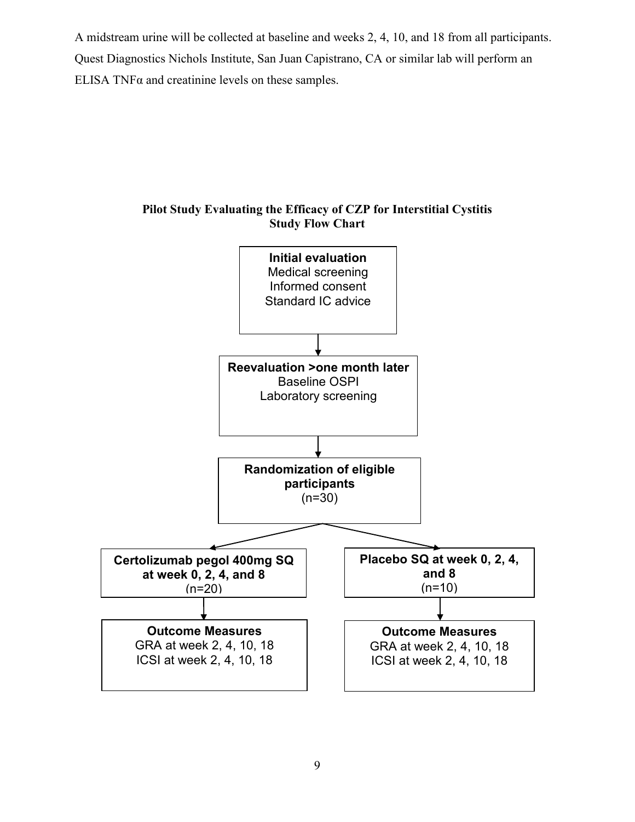A midstream urine will be collected at baseline and weeks 2, 4, 10, and 18 from all participants. Quest Diagnostics Nichols Institute, San Juan Capistrano, CA or similar lab will perform an ELISA TNF $\alpha$  and creatinine levels on these samples.



**Pilot Study Evaluating the Efficacy of CZP for Interstitial Cystitis Study Flow Chart**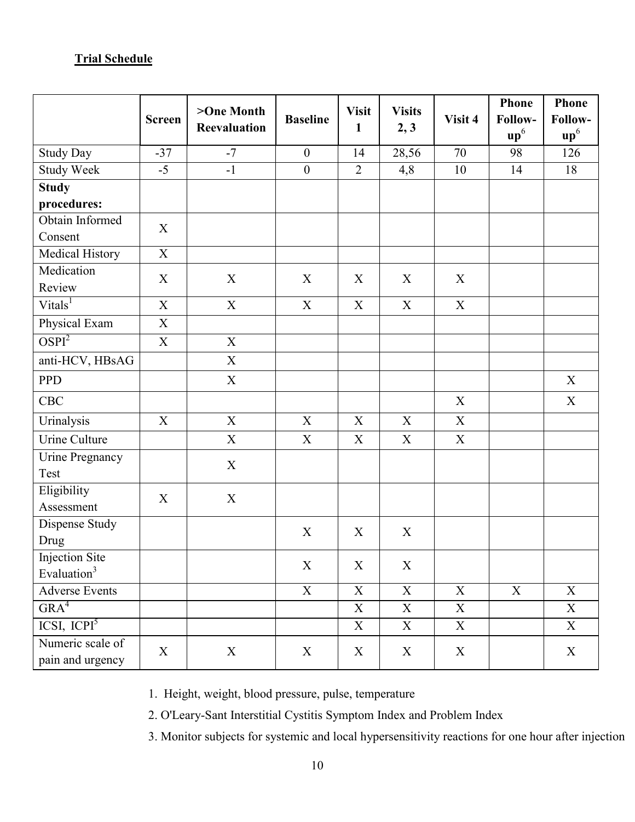# **Trial Schedule**

|                         | <b>Screen</b>             | >One Month<br><b>Reevaluation</b> | <b>Baseline</b>           | <b>Visit</b><br>$\mathbf{1}$ | <b>Visits</b><br>2, 3     | Visit 4 | <b>Phone</b><br>Follow-  | <b>Phone</b><br>Follow- |  |
|-------------------------|---------------------------|-----------------------------------|---------------------------|------------------------------|---------------------------|---------|--------------------------|-------------------------|--|
|                         |                           |                                   |                           |                              |                           |         | $\mathbf{u}\mathbf{p}^6$ | up <sup>6</sup>         |  |
| <b>Study Day</b>        | $-37$                     | $-7$                              | $\mathbf{0}$              | 14                           | 28,56                     | 70      | 98                       | 126                     |  |
| Study Week              | $-5$                      | $-1$                              | $\boldsymbol{0}$          | $\overline{2}$               | 4,8                       | 10      | 14                       | 18                      |  |
| <b>Study</b>            |                           |                                   |                           |                              |                           |         |                          |                         |  |
| procedures:             |                           |                                   |                           |                              |                           |         |                          |                         |  |
| Obtain Informed         | X                         |                                   |                           |                              |                           |         |                          |                         |  |
| Consent                 |                           |                                   |                           |                              |                           |         |                          |                         |  |
| Medical History         | $\mathbf X$               |                                   |                           |                              |                           |         |                          |                         |  |
| Medication              | X                         | X                                 | X                         | X                            | X                         | X       |                          |                         |  |
| Review                  |                           |                                   |                           |                              |                           |         |                          |                         |  |
| Vitals <sup>1</sup>     | X                         | $\mathbf X$                       | $\mathbf X$               | X                            | X                         | X       |                          |                         |  |
| Physical Exam           | $\boldsymbol{\mathrm{X}}$ |                                   |                           |                              |                           |         |                          |                         |  |
| OSPI <sup>2</sup>       | X                         | $\boldsymbol{\mathrm{X}}$         |                           |                              |                           |         |                          |                         |  |
| anti-HCV, HBsAG         |                           | $\mathbf X$                       |                           |                              |                           |         |                          |                         |  |
| PPD                     |                           | $\mathbf X$                       |                           |                              |                           |         |                          | $\mathbf X$             |  |
| CBC                     |                           |                                   |                           |                              |                           | X       |                          | X                       |  |
| Urinalysis              | X                         | X                                 | X                         | X                            | X                         | X       |                          |                         |  |
| Urine Culture           |                           | $\boldsymbol{\mathrm{X}}$         | $\boldsymbol{\mathrm{X}}$ | X                            | X                         | X       |                          |                         |  |
| <b>Urine Pregnancy</b>  |                           | X                                 |                           |                              |                           |         |                          |                         |  |
| Test                    |                           |                                   |                           |                              |                           |         |                          |                         |  |
| Eligibility             |                           | X                                 | $\mathbf X$               |                              |                           |         |                          |                         |  |
| Assessment              |                           |                                   |                           |                              |                           |         |                          |                         |  |
| Dispense Study          |                           |                                   | X                         | X                            | X                         |         |                          |                         |  |
| Drug                    |                           |                                   |                           |                              |                           |         |                          |                         |  |
| <b>Injection Site</b>   |                           |                                   | $\mathbf X$               | $\mathbf X$                  | $\boldsymbol{\mathrm{X}}$ |         |                          |                         |  |
| Evaluation <sup>3</sup> |                           |                                   |                           |                              |                           |         |                          |                         |  |
| <b>Adverse Events</b>   |                           |                                   | $\overline{X}$            | $\overline{X}$               | $\overline{X}$            | X       | $\overline{X}$           | X                       |  |
| GRA <sup>4</sup>        |                           |                                   |                           | X                            | X                         | X       |                          | X                       |  |
| ICSI, ICPI <sup>5</sup> |                           |                                   |                           | X                            | X                         | X       |                          | X                       |  |
| Numeric scale of        | $X_{\mathcal{E}}$         | X                                 | X                         | X                            | X                         | X       |                          | X                       |  |
| pain and urgency        |                           |                                   |                           |                              |                           |         |                          |                         |  |

1. Height, weight, blood pressure, pulse, temperature

2. O'Leary-Sant Interstitial Cystitis Symptom Index and Problem Index

3. Monitor subjects for systemic and local hypersensitivity reactions for one hour after injection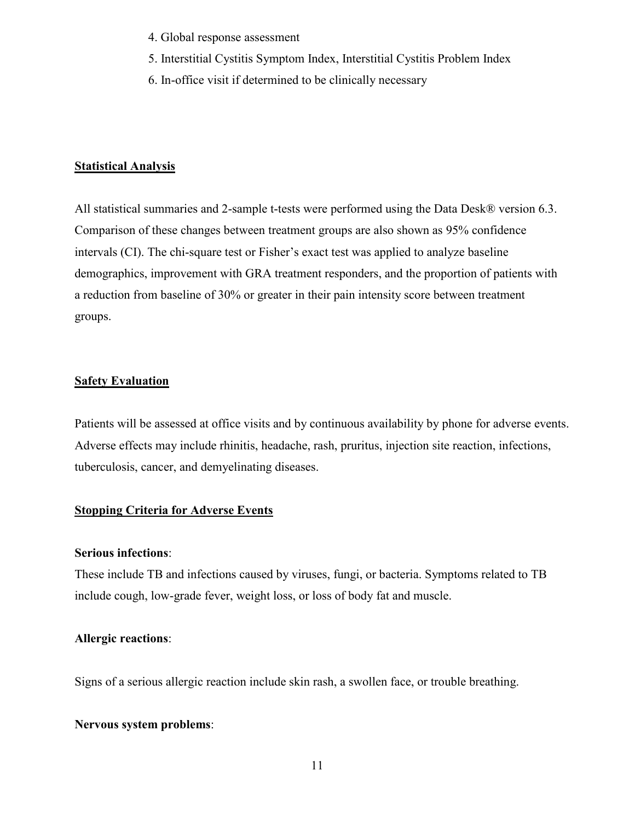- 4. Global response assessment
- 5. Interstitial Cystitis Symptom Index, Interstitial Cystitis Problem Index
- 6. In-office visit if determined to be clinically necessary

### **Statistical Analysis**

All statistical summaries and 2-sample t-tests were performed using the Data Desk® version 6.3. Comparison of these changes between treatment groups are also shown as 95% confidence intervals (CI). The chi-square test or Fisher's exact test was applied to analyze baseline demographics, improvement with GRA treatment responders, and the proportion of patients with a reduction from baseline of 30% or greater in their pain intensity score between treatment groups.

### **Safety Evaluation**

Patients will be assessed at office visits and by continuous availability by phone for adverse events. Adverse effects may include rhinitis, headache, rash, pruritus, injection site reaction, infections, tuberculosis, cancer, and demyelinating diseases.

### **Stopping Criteria for Adverse Events**

#### **Serious infections**:

These include TB and infections caused by viruses, fungi, or bacteria. Symptoms related to TB include cough, low-grade fever, weight loss, or loss of body fat and muscle.

### **Allergic reactions**:

Signs of a serious allergic reaction include skin rash, a swollen face, or trouble breathing.

#### **Nervous system problems**: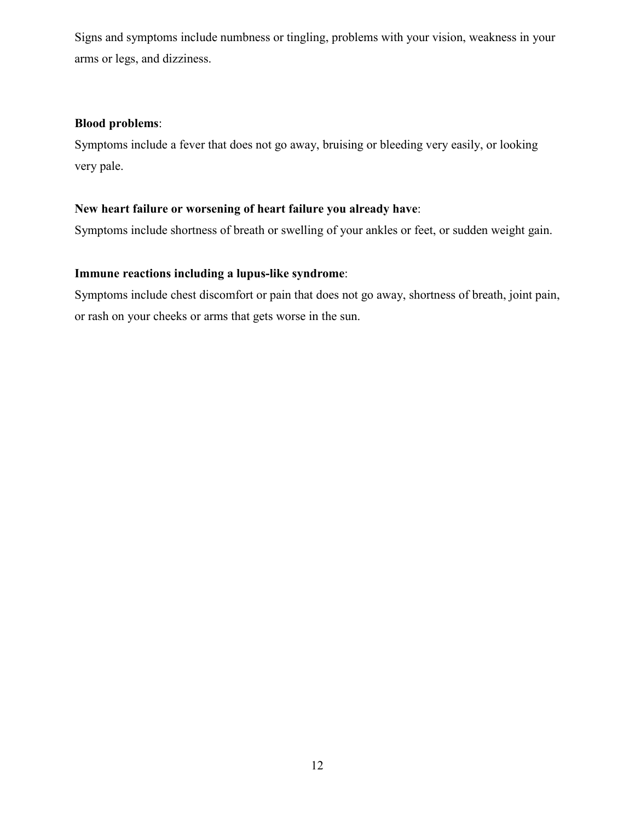Signs and symptoms include numbness or tingling, problems with your vision, weakness in your arms or legs, and dizziness.

### **Blood problems**:

Symptoms include a fever that does not go away, bruising or bleeding very easily, or looking very pale.

### **New heart failure or worsening of heart failure you already have**:

Symptoms include shortness of breath or swelling of your ankles or feet, or sudden weight gain.

## **Immune reactions including a lupus-like syndrome**:

Symptoms include chest discomfort or pain that does not go away, shortness of breath, joint pain, or rash on your cheeks or arms that gets worse in the sun.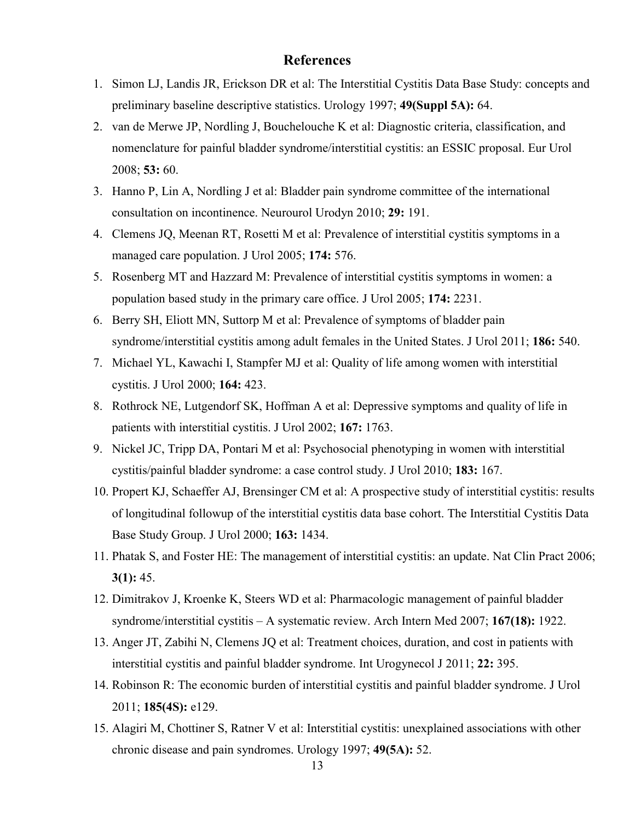### **References**

- 1. Simon LJ, Landis JR, Erickson DR et al: The Interstitial Cystitis Data Base Study: concepts and preliminary baseline descriptive statistics. Urology 1997; **49(Suppl 5A):** 64.
- 2. van de Merwe JP, Nordling J, Bouchelouche K et al: Diagnostic criteria, classification, and nomenclature for painful bladder syndrome/interstitial cystitis: an ESSIC proposal. Eur Urol 2008; **53:** 60.
- 3. Hanno P, Lin A, Nordling J et al: Bladder pain syndrome committee of the international consultation on incontinence. Neurourol Urodyn 2010; **29:** 191.
- 4. Clemens JQ, Meenan RT, Rosetti M et al: Prevalence of interstitial cystitis symptoms in a managed care population. J Urol 2005; **174:** 576.
- 5. Rosenberg MT and Hazzard M: Prevalence of interstitial cystitis symptoms in women: a population based study in the primary care office. J Urol 2005; **174:** 2231.
- 6. Berry SH, Eliott MN, Suttorp M et al: Prevalence of symptoms of bladder pain syndrome/interstitial cystitis among adult females in the United States. J Urol 2011; **186:** 540.
- 7. Michael YL, Kawachi I, Stampfer MJ et al: Quality of life among women with interstitial cystitis. J Urol 2000; **164:** 423.
- 8. Rothrock NE, Lutgendorf SK, Hoffman A et al: Depressive symptoms and quality of life in patients with interstitial cystitis. J Urol 2002; **167:** 1763.
- 9. Nickel JC, Tripp DA, Pontari M et al: Psychosocial phenotyping in women with interstitial cystitis/painful bladder syndrome: a case control study. J Urol 2010; **183:** 167.
- 10. Propert KJ, Schaeffer AJ, Brensinger CM et al: A prospective study of interstitial cystitis: results of longitudinal followup of the interstitial cystitis data base cohort. The Interstitial Cystitis Data Base Study Group. J Urol 2000; **163:** 1434.
- 11. Phatak S, and Foster HE: The management of interstitial cystitis: an update. Nat Clin Pract 2006; **3(1):** 45.
- 12. Dimitrakov J, Kroenke K, Steers WD et al: Pharmacologic management of painful bladder syndrome/interstitial cystitis – A systematic review. Arch Intern Med 2007; **167(18):** 1922.
- 13. Anger JT, Zabihi N, Clemens JQ et al: Treatment choices, duration, and cost in patients with interstitial cystitis and painful bladder syndrome. Int Urogynecol J 2011; **22:** 395.
- 14. Robinson R: The economic burden of interstitial cystitis and painful bladder syndrome. J Urol 2011; **185(4S):** e129.
- 15. Alagiri M, Chottiner S, Ratner V et al: Interstitial cystitis: unexplained associations with other chronic disease and pain syndromes. Urology 1997; **49(5A):** 52.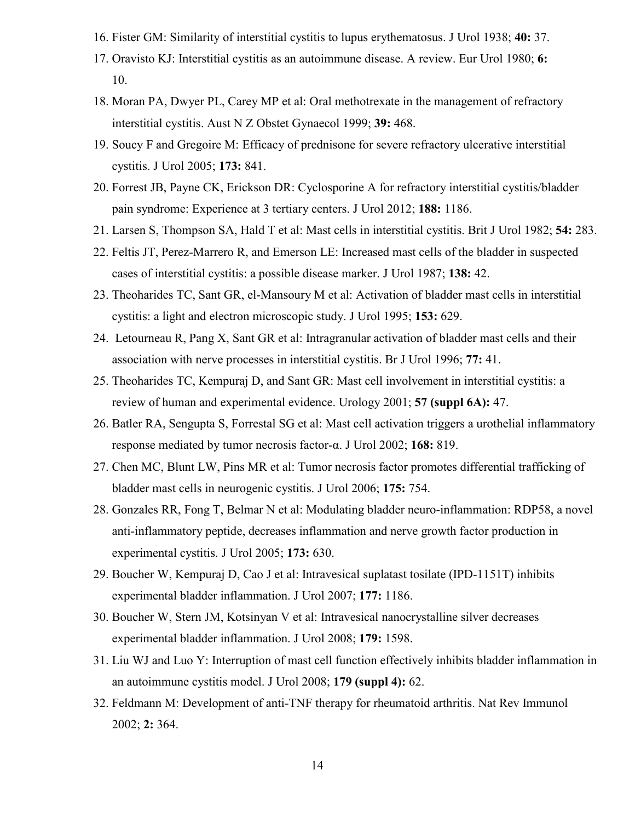- 16. Fister GM: Similarity of interstitial cystitis to lupus erythematosus. J Urol 1938; **40:** 37.
- 17. Oravisto KJ: Interstitial cystitis as an autoimmune disease. A review. Eur Urol 1980; **6:**  10.
- 18. Moran PA, Dwyer PL, Carey MP et al: Oral methotrexate in the management of refractory interstitial cystitis. Aust N Z Obstet Gynaecol 1999; **39:** 468.
- 19. Soucy F and Gregoire M: Efficacy of prednisone for severe refractory ulcerative interstitial cystitis. J Urol 2005; **173:** 841.
- 20. Forrest JB, Payne CK, Erickson DR: Cyclosporine A for refractory interstitial cystitis/bladder pain syndrome: Experience at 3 tertiary centers. J Urol 2012; **188:** 1186.
- 21. Larsen S, Thompson SA, Hald T et al: Mast cells in interstitial cystitis. Brit J Urol 1982; **54:** 283.
- 22. Feltis JT, Perez-Marrero R, and Emerson LE: Increased mast cells of the bladder in suspected cases of interstitial cystitis: a possible disease marker. J Urol 1987; **138:** 42.
- 23. Theoharides TC, Sant GR, el-Mansoury M et al: Activation of bladder mast cells in interstitial cystitis: a light and electron microscopic study. J Urol 1995; **153:** 629.
- 24. Letourneau R, Pang X, Sant GR et al: Intragranular activation of bladder mast cells and their association with nerve processes in interstitial cystitis. Br J Urol 1996; **77:** 41.
- 25. Theoharides TC, Kempuraj D, and Sant GR: Mast cell involvement in interstitial cystitis: a review of human and experimental evidence. Urology 2001; **57 (suppl 6A):** 47.
- 26. Batler RA, Sengupta S, Forrestal SG et al: Mast cell activation triggers a urothelial inflammatory response mediated by tumor necrosis factor-α. J Urol 2002; **168:** 819.
- 27. Chen MC, Blunt LW, Pins MR et al: Tumor necrosis factor promotes differential trafficking of bladder mast cells in neurogenic cystitis. J Urol 2006; **175:** 754.
- 28. Gonzales RR, Fong T, Belmar N et al: Modulating bladder neuro-inflammation: RDP58, a novel anti-inflammatory peptide, decreases inflammation and nerve growth factor production in experimental cystitis. J Urol 2005; **173:** 630.
- 29. Boucher W, Kempuraj D, Cao J et al: Intravesical suplatast tosilate (IPD-1151T) inhibits experimental bladder inflammation. J Urol 2007; **177:** 1186.
- 30. Boucher W, Stern JM, Kotsinyan V et al: Intravesical nanocrystalline silver decreases experimental bladder inflammation. J Urol 2008; **179:** 1598.
- 31. Liu WJ and Luo Y: Interruption of mast cell function effectively inhibits bladder inflammation in an autoimmune cystitis model. J Urol 2008; **179 (suppl 4):** 62.
- 32. Feldmann M: Development of anti-TNF therapy for rheumatoid arthritis. Nat Rev Immunol 2002; **2:** 364.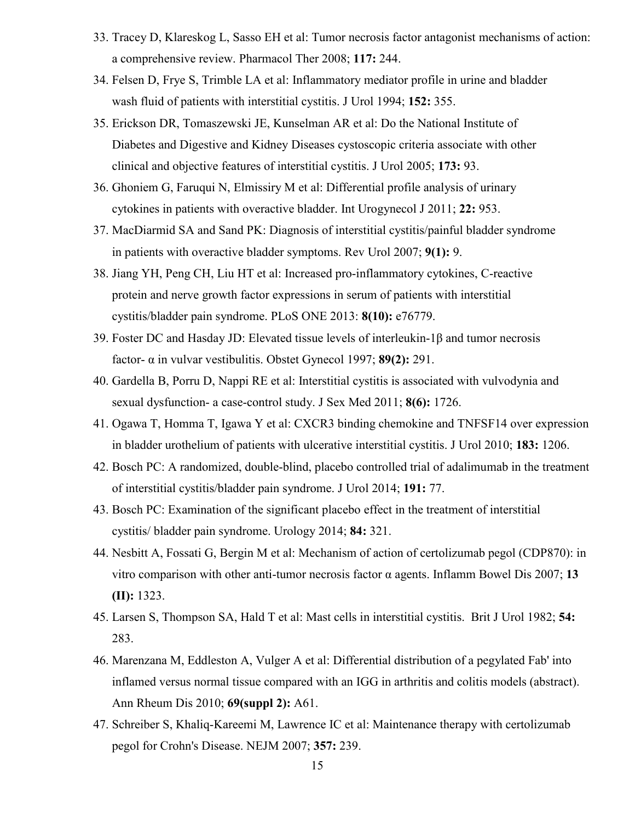- 33. Tracey D, Klareskog L, Sasso EH et al: Tumor necrosis factor antagonist mechanisms of action: a comprehensive review. Pharmacol Ther 2008; **117:** 244.
- 34. Felsen D, Frye S, Trimble LA et al: Inflammatory mediator profile in urine and bladder wash fluid of patients with interstitial cystitis. J Urol 1994; **152:** 355.
- 35. Erickson DR, Tomaszewski JE, Kunselman AR et al: Do the National Institute of Diabetes and Digestive and Kidney Diseases cystoscopic criteria associate with other clinical and objective features of interstitial cystitis. J Urol 2005; **173:** 93.
- 36. Ghoniem G, Faruqui N, Elmissiry M et al: Differential profile analysis of urinary cytokines in patients with overactive bladder. Int Urogynecol J 2011; **22:** 953.
- 37. MacDiarmid SA and Sand PK: Diagnosis of interstitial cystitis/painful bladder syndrome in patients with overactive bladder symptoms. Rev Urol 2007; **9(1):** 9.
- 38. Jiang YH, Peng CH, Liu HT et al: Increased pro-inflammatory cytokines, C-reactive protein and nerve growth factor expressions in serum of patients with interstitial cystitis/bladder pain syndrome. PLoS ONE 2013: **8(10):** e76779.
- 39. Foster DC and Hasday JD: Elevated tissue levels of interleukin-1β and tumor necrosis factor- α in vulvar vestibulitis. Obstet Gynecol 1997; **89(2):** 291.
- 40. Gardella B, Porru D, Nappi RE et al: Interstitial cystitis is associated with vulvodynia and sexual dysfunction- a case-control study. J Sex Med 2011; **8(6):** 1726.
- 41. Ogawa T, Homma T, Igawa Y et al: CXCR3 binding chemokine and TNFSF14 over expression in bladder urothelium of patients with ulcerative interstitial cystitis. J Urol 2010; **183:** 1206.
- 42. Bosch PC: A randomized, double-blind, placebo controlled trial of adalimumab in the treatment of interstitial cystitis/bladder pain syndrome. J Urol 2014; **191:** 77.
- 43. Bosch PC: Examination of the significant placebo effect in the treatment of interstitial cystitis/ bladder pain syndrome. Urology 2014; **84:** 321.
- 44. Nesbitt A, Fossati G, Bergin M et al: Mechanism of action of certolizumab pegol (CDP870): in vitro comparison with other anti-tumor necrosis factor α agents. Inflamm Bowel Dis 2007; **13 (II):** 1323.
- 45. Larsen S, Thompson SA, Hald T et al: Mast cells in interstitial cystitis. Brit J Urol 1982; **54:**  283.
- 46. Marenzana M, Eddleston A, Vulger A et al: Differential distribution of a pegylated Fab' into inflamed versus normal tissue compared with an IGG in arthritis and colitis models (abstract). Ann Rheum Dis 2010; **69(suppl 2):** A61.
- 47. Schreiber S, Khaliq-Kareemi M, Lawrence IC et al: Maintenance therapy with certolizumab pegol for Crohn's Disease. NEJM 2007; **357:** 239.